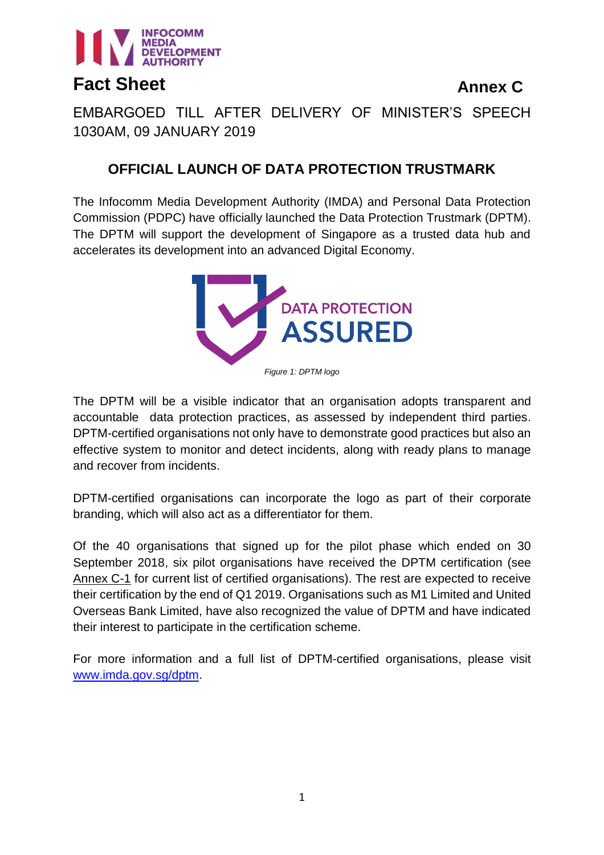

**Annex C**

EMBARGOED TILL AFTER DELIVERY OF MINISTER'S SPEECH 1030AM, 09 JANUARY 2019

# **OFFICIAL LAUNCH OF DATA PROTECTION TRUSTMARK**

The Infocomm Media Development Authority (IMDA) and Personal Data Protection Commission (PDPC) have officially launched the Data Protection Trustmark (DPTM). The DPTM will support the development of Singapore as a trusted data hub and accelerates its development into an advanced Digital Economy.



The DPTM will be a visible indicator that an organisation adopts transparent and accountable data protection practices, as assessed by independent third parties. DPTM-certified organisations not only have to demonstrate good practices but also an effective system to monitor and detect incidents, along with ready plans to manage and recover from incidents.

DPTM-certified organisations can incorporate the logo as part of their corporate branding, which will also act as a differentiator for them.

Of the 40 organisations that signed up for the pilot phase which ended on 30 September 2018, six pilot organisations have received the DPTM certification (see Annex C-1 for current list of certified organisations). The rest are expected to receive their certification by the end of Q1 2019. Organisations such as M1 Limited and United Overseas Bank Limited, have also recognized the value of DPTM and have indicated their interest to participate in the certification scheme.

For more information and a full list of DPTM-certified organisations, please visit [www.imda.gov.sg/dptm.](http://www.imda.gov.sg/dptm)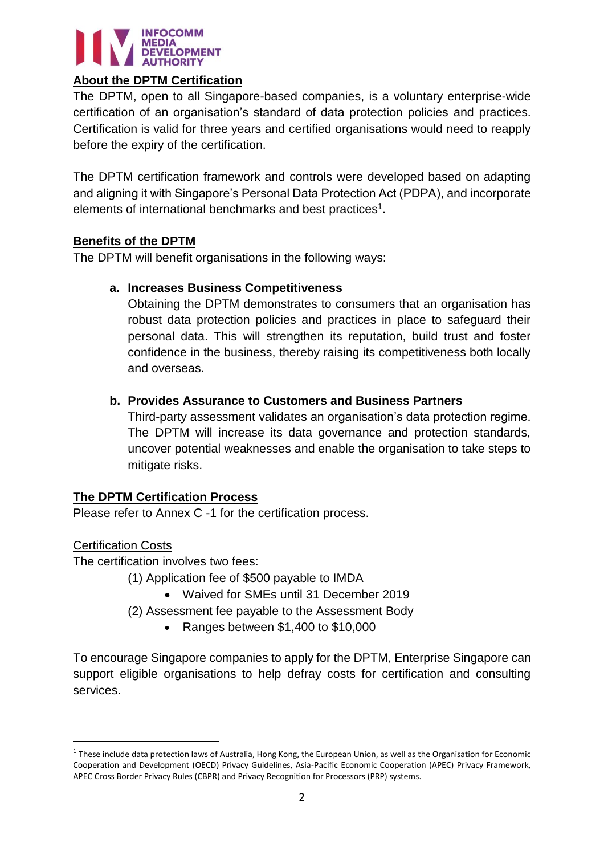

## **About the DPTM Certification**

The DPTM, open to all Singapore-based companies, is a voluntary enterprise-wide certification of an organisation's standard of data protection policies and practices. Certification is valid for three years and certified organisations would need to reapply before the expiry of the certification.

The DPTM certification framework and controls were developed based on adapting and aligning it with Singapore's Personal Data Protection Act (PDPA), and incorporate elements of international benchmarks and best practices<sup>1</sup>.

## **Benefits of the DPTM**

The DPTM will benefit organisations in the following ways:

# **a. Increases Business Competitiveness**

Obtaining the DPTM demonstrates to consumers that an organisation has robust data protection policies and practices in place to safeguard their personal data. This will strengthen its reputation, build trust and foster confidence in the business, thereby raising its competitiveness both locally and overseas.

# **b. Provides Assurance to Customers and Business Partners**

Third-party assessment validates an organisation's data protection regime. The DPTM will increase its data governance and protection standards, uncover potential weaknesses and enable the organisation to take steps to mitigate risks.

### **The DPTM Certification Process**

Please refer to Annex C -1 for the certification process.

### Certification Costs

 $\overline{a}$ 

The certification involves two fees:

(1) Application fee of \$500 payable to IMDA

- Waived for SMEs until 31 December 2019
- (2) Assessment fee payable to the Assessment Body
	- Ranges between \$1,400 to \$10,000

To encourage Singapore companies to apply for the DPTM, Enterprise Singapore can support eligible organisations to help defray costs for certification and consulting services.

 $^1$  These include data protection laws of Australia, Hong Kong, the European Union, as well as the Organisation for Economic Cooperation and Development (OECD) Privacy Guidelines, Asia-Pacific Economic Cooperation (APEC) Privacy Framework, APEC Cross Border Privacy Rules (CBPR) and Privacy Recognition for Processors (PRP) systems.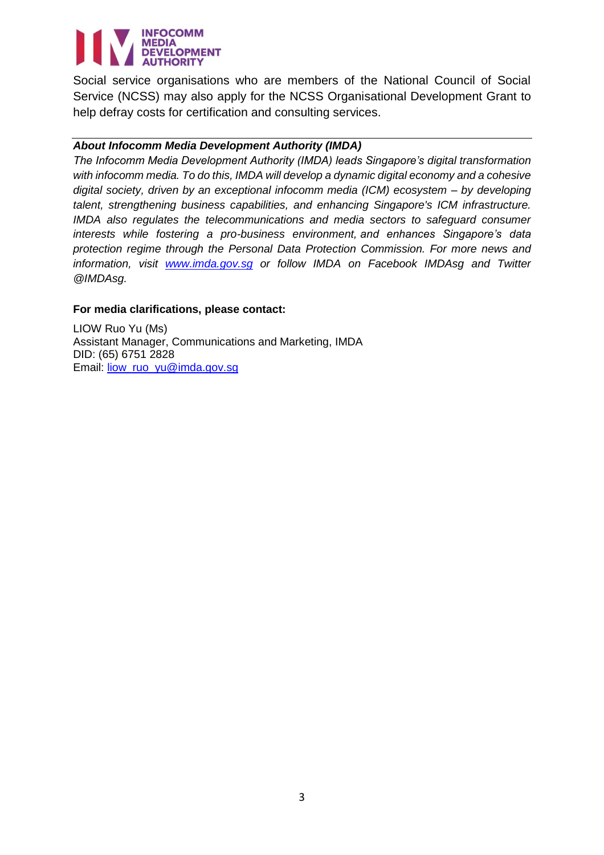# **INFOCOMM MEDIA** DEVELOPMENT

Social service organisations who are members of the National Council of Social Service (NCSS) may also apply for the NCSS Organisational Development Grant to help defray costs for certification and consulting services.

## *About Infocomm Media Development Authority (IMDA)*

*The Infocomm Media Development Authority (IMDA) leads Singapore's digital transformation with infocomm media. To do this, IMDA will develop a dynamic digital economy and a cohesive digital society, driven by an exceptional infocomm media (ICM) ecosystem – by developing talent, strengthening business capabilities, and enhancing Singapore's ICM infrastructure. IMDA also regulates the telecommunications and media sectors to safeguard consumer interests while fostering a pro-business environment, and enhances Singapore's data protection regime through the Personal Data Protection Commission. For more news and information, visit [www.imda.gov.sg](http://www.imda.gov.sg/) or follow IMDA on Facebook IMDAsg and Twitter @IMDAsg.*

### **For media clarifications, please contact:**

LIOW Ruo Yu (Ms) Assistant Manager, Communications and Marketing, IMDA DID: (65) 6751 2828 Email: [liow\\_ruo\\_yu@imda.gov.sg](mailto:liow_ruo_yu@imda.gov.sg)